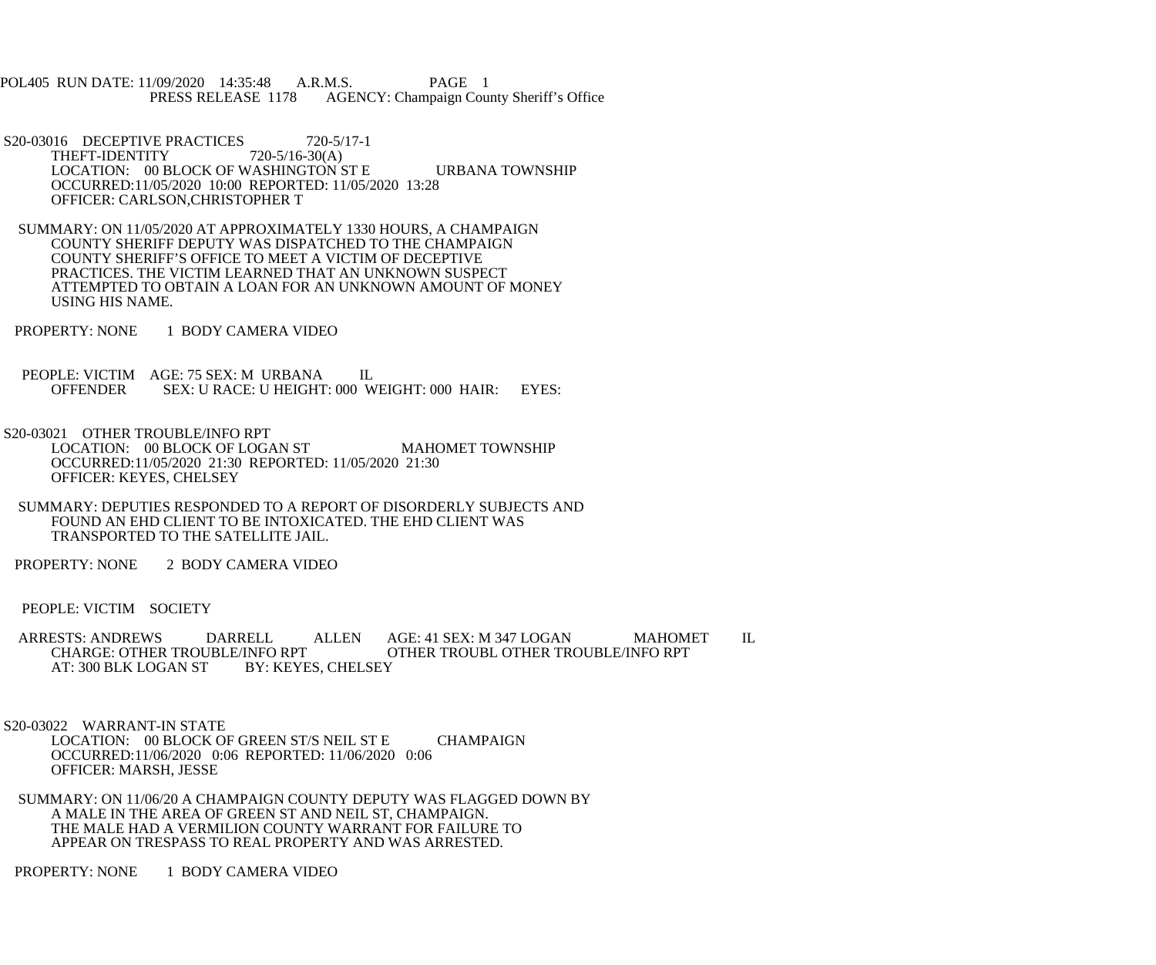POL405 RUN DATE: 11/09/2020 14:35:48 A.R.M.S. PAGE 1<br>PRESS RELEASE 1178 AGENCY: Champaign Cou AGENCY: Champaign County Sheriff's Office

- S20-03016 DECEPTIVE PRACTICES 720-5/17-1<br>THEFT-IDENTITY 720-5/16-30(A) THEFT-IDENTITY LOCATION: 00 BLOCK OF WASHINGTON ST E URBANA TOWNSHIP OCCURRED:11/05/2020 10:00 REPORTED: 11/05/2020 13:28 OFFICER: CARLSON,CHRISTOPHER T
- SUMMARY: ON 11/05/2020 AT APPROXIMATELY 1330 HOURS, A CHAMPAIGN COUNTY SHERIFF DEPUTY WAS DISPATCHED TO THE CHAMPAIGN COUNTY SHERIFF'S OFFICE TO MEET A VICTIM OF DECEPTIVE PRACTICES. THE VICTIM LEARNED THAT AN UNKNOWN SUSPECT ATTEMPTED TO OBTAIN A LOAN FOR AN UNKNOWN AMOUNT OF MONEY USING HIS NAME.
- PROPERTY: NONE 1 BODY CAMERA VIDEO
- PEOPLE: VICTIM AGE: 75 SEX: M URBANA IL<br>OFFENDER SEX: U RACE: U HEIGHT: 000 W SEX: U RACE: U HEIGHT: 000 WEIGHT: 000 HAIR: EYES:
- S20-03021 OTHER TROUBLE/INFO RPT LOCATION: 00 BLOCK OF LOGAN ST MAHOMET TOWNSHIP OCCURRED:11/05/2020 21:30 REPORTED: 11/05/2020 21:30 OFFICER: KEYES, CHELSEY
- SUMMARY: DEPUTIES RESPONDED TO A REPORT OF DISORDERLY SUBJECTS AND FOUND AN EHD CLIENT TO BE INTOXICATED. THE EHD CLIENT WAS TRANSPORTED TO THE SATELLITE JAIL.
- PROPERTY: NONE 2 BODY CAMERA VIDEO
- PEOPLE: VICTIM SOCIETY
- ARRESTS: ANDREWS DARRELL ALLEN AGE: 41 SEX: M 347 LOGAN MAHOMET IL<br>CHARGE: OTHER TROUBLE/INFO RPT OTHER TROUBL OTHER TROUBLE/INFO RPT OTHER TROUBL OTHER TROUBLE/INFO RPT AT: 300 BLK LOGAN ST BY: KEYES, CHELSEY

 S20-03022 WARRANT-IN STATE LOCATION: 00 BLOCK OF GREEN ST/S NEIL ST E CHAMPAIGN OCCURRED:11/06/2020 0:06 REPORTED: 11/06/2020 0:06 OFFICER: MARSH, JESSE

 SUMMARY: ON 11/06/20 A CHAMPAIGN COUNTY DEPUTY WAS FLAGGED DOWN BY A MALE IN THE AREA OF GREEN ST AND NEIL ST, CHAMPAIGN. THE MALE HAD A VERMILION COUNTY WARRANT FOR FAILURE TO APPEAR ON TRESPASS TO REAL PROPERTY AND WAS ARRESTED.

PROPERTY: NONE 1 BODY CAMERA VIDEO